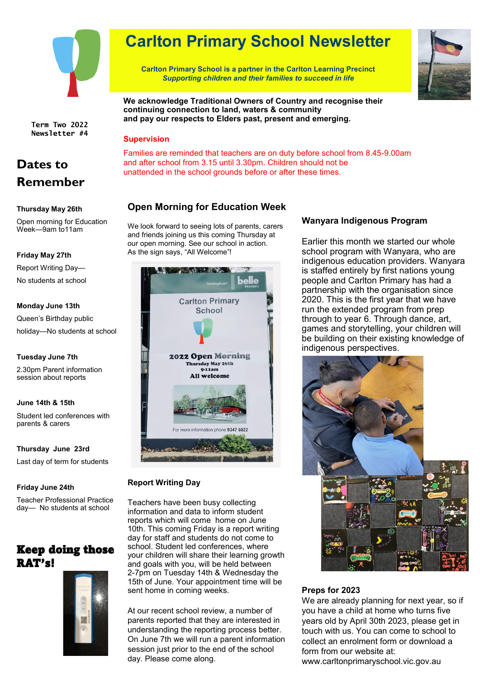

**Term Two 2022 Newsletter #4**

# **Dates to Remember**

### **Thursday May 26th**

Open morning for Education Week—9am to11am

### **Friday May 27th**

Report Writing Day—

No students at school

### **Monday June 13th**

Queen's Birthday public holiday—No students at school

### **Tuesday June 7th**

2.30pm Parent information session about reports

### **June 14th & 15th**

Student led conferences with parents & carers

### **Thursday June 23rd**

Last day of term for students

### **Friday June 24th**

Teacher Professional Practice day— No students at school

## Keep doing those RAT's!



# **Carlton Primary School Newsletter**

**Carlton Primary School is a partner in the Carlton Learning Precinct** *Supporting children and their families to succeed in life*



**We acknowledge Traditional Owners of Country and recognise their continuing connection to land, waters & community and pay our respects to Elders past, present and emerging.**

### **Supervision**

Families are reminded that teachers are on duty before school from 8.45-9.00am and after school from 3.15 until 3.30pm. Children should not be unattended in the school grounds before or after these times.

### **Open Morning for Education Week**

We look forward to seeing lots of parents, carers and friends joining us this coming Thursday at our open morning. See our school in action. As the sign says, "All Welcome"!



### **Report Writing Day**

Teachers have been busy collecting information and data to inform student reports which will come home on June 10th. This coming Friday is a report writing day for staff and students do not come to school. Student led conferences, where your children will share their learning growth and goals with you, will be held between 2-7pm on Tuesday 14th & Wednesday the 15th of June. Your appointment time will be sent home in coming weeks.

At our recent school review, a number of parents reported that they are interested in understanding the reporting process better. On June 7th we will run a parent information session just prior to the end of the school day. Please come along.

### **Wanyara Indigenous Program**

Earlier this month we started our whole school program with Wanyara, who are indigenous education providers. Wanyara is staffed entirely by first nations young people and Carlton Primary has had a partnership with the organisation since 2020. This is the first year that we have run the extended program from prep through to year 6. Through dance, art, games and storytelling, your children will be building on their existing knowledge of indigenous perspectives.



### **Preps for 2023**

We are already planning for next year, so if you have a child at home who turns five years old by April 30th 2023, please get in touch with us. You can come to school to collect an enrolment form or download a form from our website at: www.carltonprimaryschool.vic.gov.au